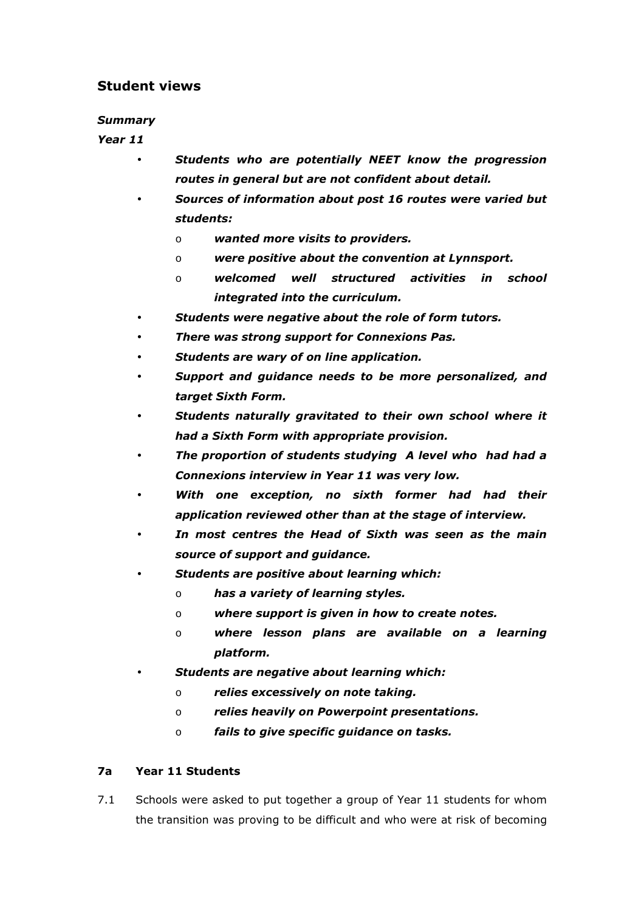# Student views

#### Summary

### Year 11

- Students who are potentially NEET know the progression routes in general but are not confident about detail.
- Sources of information about post 16 routes were varied but students:
	- o wanted more visits to providers.
	- o were positive about the convention at Lynnsport.
	- o welcomed well structured activities in school integrated into the curriculum.
- Students were negative about the role of form tutors.
- There was strong support for Connexions Pas.
- Students are wary of on line application.
- Support and guidance needs to be more personalized, and target Sixth Form.
- Students naturally gravitated to their own school where it had a Sixth Form with appropriate provision.
- The proportion of students studying A level who had had a Connexions interview in Year 11 was very low.
- With one exception, no sixth former had had their application reviewed other than at the stage of interview.
- In most centres the Head of Sixth was seen as the main source of support and guidance.
- Students are positive about learning which:
	- o has a variety of learning styles.
	- o where support is given in how to create notes.
	- o where lesson plans are available on a learning platform.
- Students are negative about learning which:
	- o relies excessively on note taking.
	- o relies heavily on Powerpoint presentations.
	- o fails to give specific guidance on tasks.

## 7a Year 11 Students

7.1 Schools were asked to put together a group of Year 11 students for whom the transition was proving to be difficult and who were at risk of becoming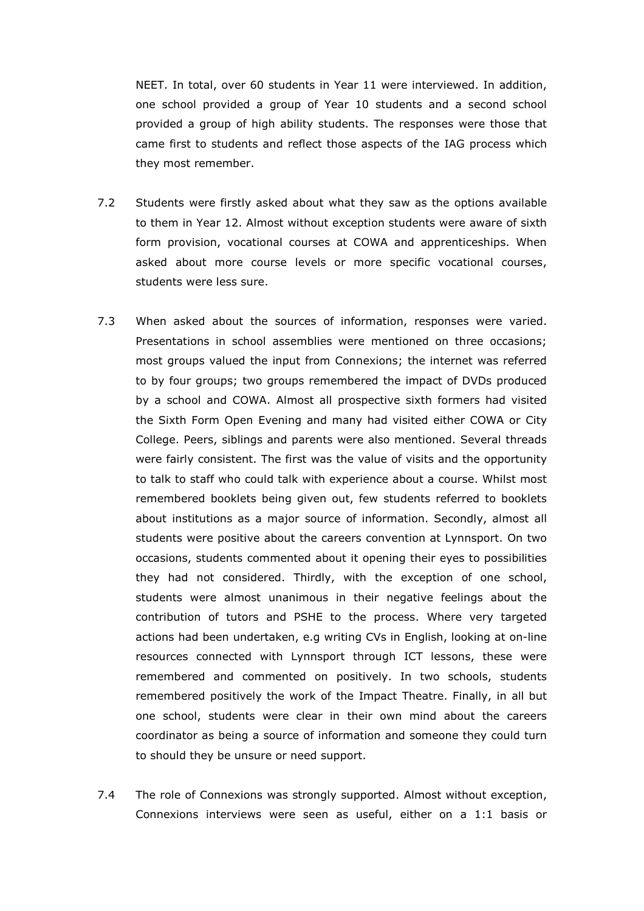NEET. In total, over 60 students in Year 11 were interviewed. In addition, one school provided a group of Year 10 students and a second school provided a group of high ability students. The responses were those that came first to students and reflect those aspects of the IAG process which they most remember.

- 7.2 Students were firstly asked about what they saw as the options available to them in Year 12. Almost without exception students were aware of sixth form provision, vocational courses at COWA and apprenticeships. When asked about more course levels or more specific vocational courses, students were less sure.
- 7.3 When asked about the sources of information, responses were varied. Presentations in school assemblies were mentioned on three occasions; most groups valued the input from Connexions; the internet was referred to by four groups; two groups remembered the impact of DVDs produced by a school and COWA. Almost all prospective sixth formers had visited the Sixth Form Open Evening and many had visited either COWA or City College. Peers, siblings and parents were also mentioned. Several threads were fairly consistent. The first was the value of visits and the opportunity to talk to staff who could talk with experience about a course. Whilst most remembered booklets being given out, few students referred to booklets about institutions as a major source of information. Secondly, almost all students were positive about the careers convention at Lynnsport. On two occasions, students commented about it opening their eyes to possibilities they had not considered. Thirdly, with the exception of one school, students were almost unanimous in their negative feelings about the contribution of tutors and PSHE to the process. Where very targeted actions had been undertaken, e.g writing CVs in English, looking at on-line resources connected with Lynnsport through ICT lessons, these were remembered and commented on positively. In two schools, students remembered positively the work of the Impact Theatre. Finally, in all but one school, students were clear in their own mind about the careers coordinator as being a source of information and someone they could turn to should they be unsure or need support.
- 7.4 The role of Connexions was strongly supported. Almost without exception, Connexions interviews were seen as useful, either on a 1:1 basis or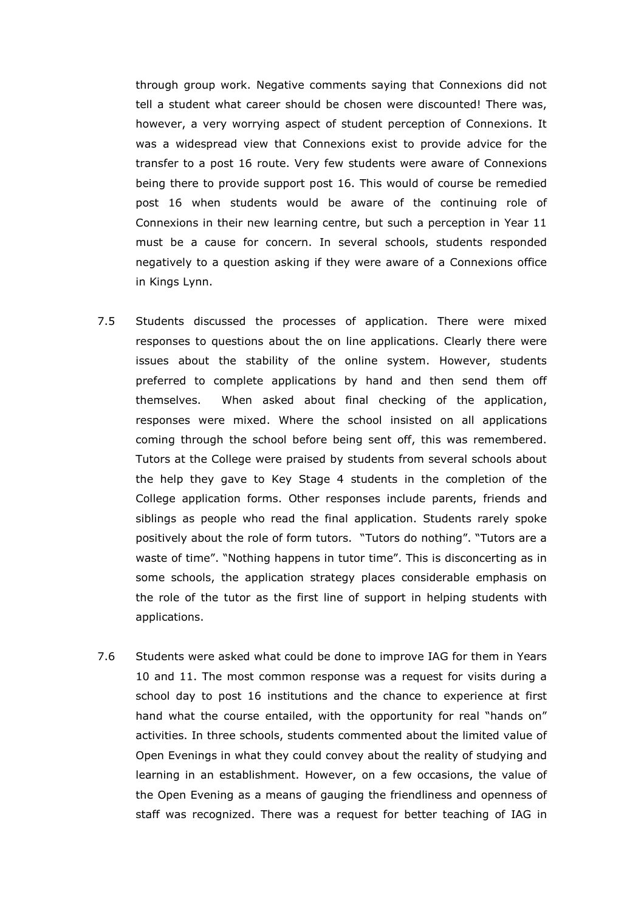through group work. Negative comments saying that Connexions did not tell a student what career should be chosen were discounted! There was, however, a very worrying aspect of student perception of Connexions. It was a widespread view that Connexions exist to provide advice for the transfer to a post 16 route. Very few students were aware of Connexions being there to provide support post 16. This would of course be remedied post 16 when students would be aware of the continuing role of Connexions in their new learning centre, but such a perception in Year 11 must be a cause for concern. In several schools, students responded negatively to a question asking if they were aware of a Connexions office in Kings Lynn.

- 7.5 Students discussed the processes of application. There were mixed responses to questions about the on line applications. Clearly there were issues about the stability of the online system. However, students preferred to complete applications by hand and then send them off themselves. When asked about final checking of the application, responses were mixed. Where the school insisted on all applications coming through the school before being sent off, this was remembered. Tutors at the College were praised by students from several schools about the help they gave to Key Stage 4 students in the completion of the College application forms. Other responses include parents, friends and siblings as people who read the final application. Students rarely spoke positively about the role of form tutors. "Tutors do nothing". "Tutors are a waste of time". "Nothing happens in tutor time". This is disconcerting as in some schools, the application strategy places considerable emphasis on the role of the tutor as the first line of support in helping students with applications.
- 7.6 Students were asked what could be done to improve IAG for them in Years 10 and 11. The most common response was a request for visits during a school day to post 16 institutions and the chance to experience at first hand what the course entailed, with the opportunity for real "hands on" activities. In three schools, students commented about the limited value of Open Evenings in what they could convey about the reality of studying and learning in an establishment. However, on a few occasions, the value of the Open Evening as a means of gauging the friendliness and openness of staff was recognized. There was a request for better teaching of IAG in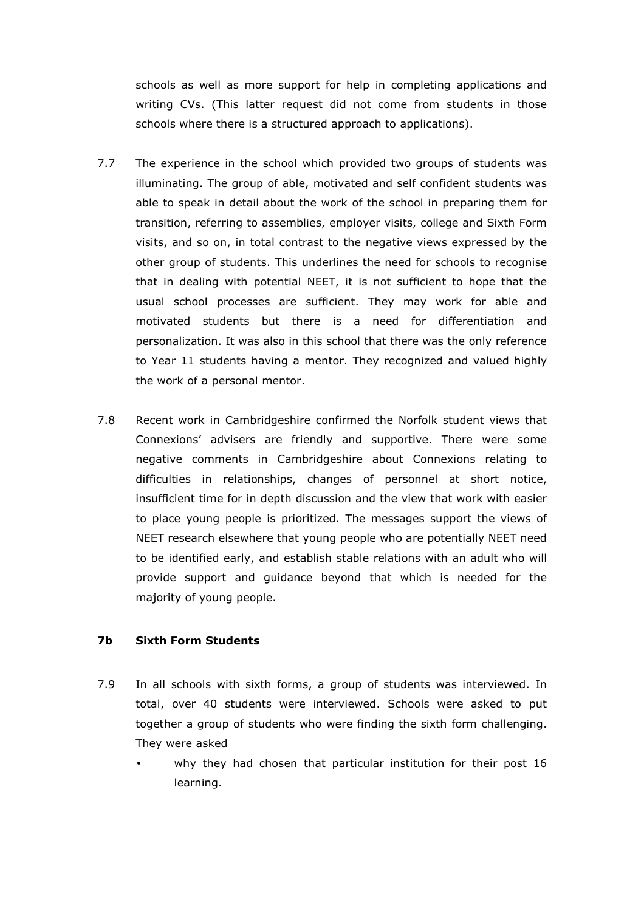schools as well as more support for help in completing applications and writing CVs. (This latter request did not come from students in those schools where there is a structured approach to applications).

- 7.7 The experience in the school which provided two groups of students was illuminating. The group of able, motivated and self confident students was able to speak in detail about the work of the school in preparing them for transition, referring to assemblies, employer visits, college and Sixth Form visits, and so on, in total contrast to the negative views expressed by the other group of students. This underlines the need for schools to recognise that in dealing with potential NEET, it is not sufficient to hope that the usual school processes are sufficient. They may work for able and motivated students but there is a need for differentiation and personalization. It was also in this school that there was the only reference to Year 11 students having a mentor. They recognized and valued highly the work of a personal mentor.
- 7.8 Recent work in Cambridgeshire confirmed the Norfolk student views that Connexions' advisers are friendly and supportive. There were some negative comments in Cambridgeshire about Connexions relating to difficulties in relationships, changes of personnel at short notice, insufficient time for in depth discussion and the view that work with easier to place young people is prioritized. The messages support the views of NEET research elsewhere that young people who are potentially NEET need to be identified early, and establish stable relations with an adult who will provide support and guidance beyond that which is needed for the majority of young people.

#### 7b Sixth Form Students

- 7.9 In all schools with sixth forms, a group of students was interviewed. In total, over 40 students were interviewed. Schools were asked to put together a group of students who were finding the sixth form challenging. They were asked
	- why they had chosen that particular institution for their post 16 learning.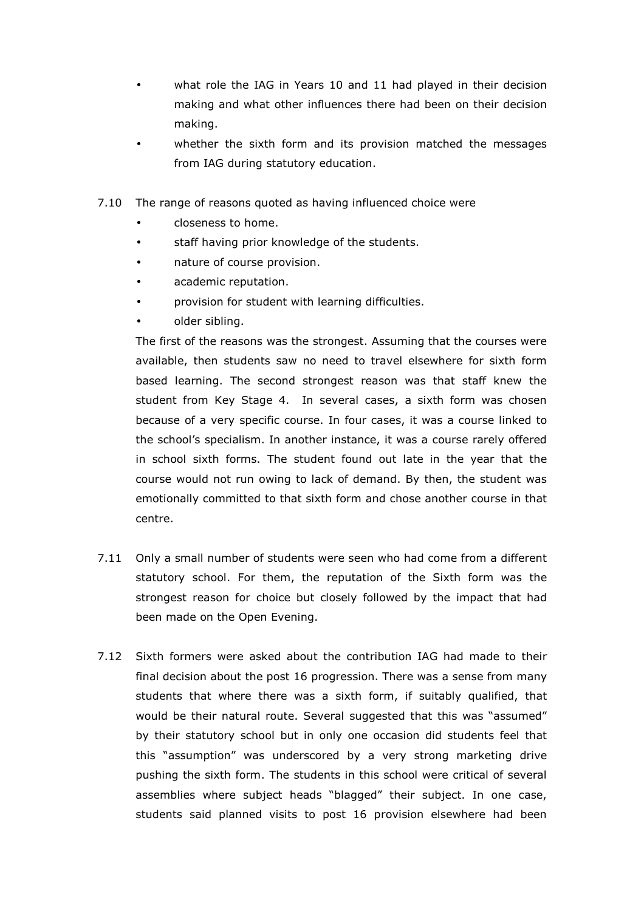- what role the IAG in Years 10 and 11 had played in their decision making and what other influences there had been on their decision making.
- whether the sixth form and its provision matched the messages from IAG during statutory education.
- 7.10 The range of reasons quoted as having influenced choice were
	- closeness to home.
	- staff having prior knowledge of the students.
	- nature of course provision.
	- academic reputation.
	- provision for student with learning difficulties.
	- older sibling.

 The first of the reasons was the strongest. Assuming that the courses were available, then students saw no need to travel elsewhere for sixth form based learning. The second strongest reason was that staff knew the student from Key Stage 4. In several cases, a sixth form was chosen because of a very specific course. In four cases, it was a course linked to the school's specialism. In another instance, it was a course rarely offered in school sixth forms. The student found out late in the year that the course would not run owing to lack of demand. By then, the student was emotionally committed to that sixth form and chose another course in that centre.

- 7.11 Only a small number of students were seen who had come from a different statutory school. For them, the reputation of the Sixth form was the strongest reason for choice but closely followed by the impact that had been made on the Open Evening.
- 7.12 Sixth formers were asked about the contribution IAG had made to their final decision about the post 16 progression. There was a sense from many students that where there was a sixth form, if suitably qualified, that would be their natural route. Several suggested that this was "assumed" by their statutory school but in only one occasion did students feel that this "assumption" was underscored by a very strong marketing drive pushing the sixth form. The students in this school were critical of several assemblies where subject heads "blagged" their subject. In one case, students said planned visits to post 16 provision elsewhere had been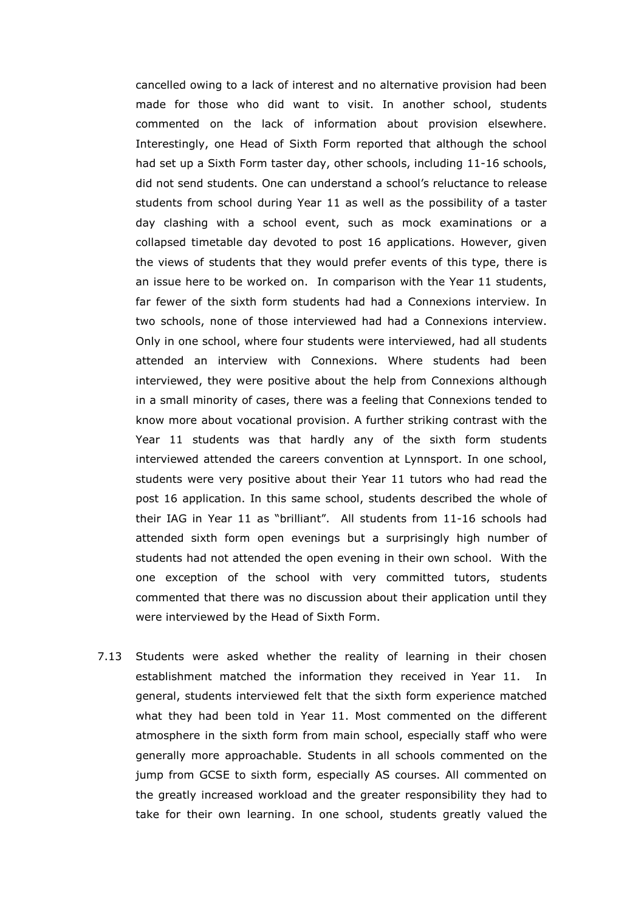cancelled owing to a lack of interest and no alternative provision had been made for those who did want to visit. In another school, students commented on the lack of information about provision elsewhere. Interestingly, one Head of Sixth Form reported that although the school had set up a Sixth Form taster day, other schools, including 11-16 schools, did not send students. One can understand a school's reluctance to release students from school during Year 11 as well as the possibility of a taster day clashing with a school event, such as mock examinations or a collapsed timetable day devoted to post 16 applications. However, given the views of students that they would prefer events of this type, there is an issue here to be worked on. In comparison with the Year 11 students, far fewer of the sixth form students had had a Connexions interview. In two schools, none of those interviewed had had a Connexions interview. Only in one school, where four students were interviewed, had all students attended an interview with Connexions. Where students had been interviewed, they were positive about the help from Connexions although in a small minority of cases, there was a feeling that Connexions tended to know more about vocational provision. A further striking contrast with the Year 11 students was that hardly any of the sixth form students interviewed attended the careers convention at Lynnsport. In one school, students were very positive about their Year 11 tutors who had read the post 16 application. In this same school, students described the whole of their IAG in Year 11 as "brilliant". All students from 11-16 schools had attended sixth form open evenings but a surprisingly high number of students had not attended the open evening in their own school. With the one exception of the school with very committed tutors, students commented that there was no discussion about their application until they were interviewed by the Head of Sixth Form.

7.13 Students were asked whether the reality of learning in their chosen establishment matched the information they received in Year 11. In general, students interviewed felt that the sixth form experience matched what they had been told in Year 11. Most commented on the different atmosphere in the sixth form from main school, especially staff who were generally more approachable. Students in all schools commented on the jump from GCSE to sixth form, especially AS courses. All commented on the greatly increased workload and the greater responsibility they had to take for their own learning. In one school, students greatly valued the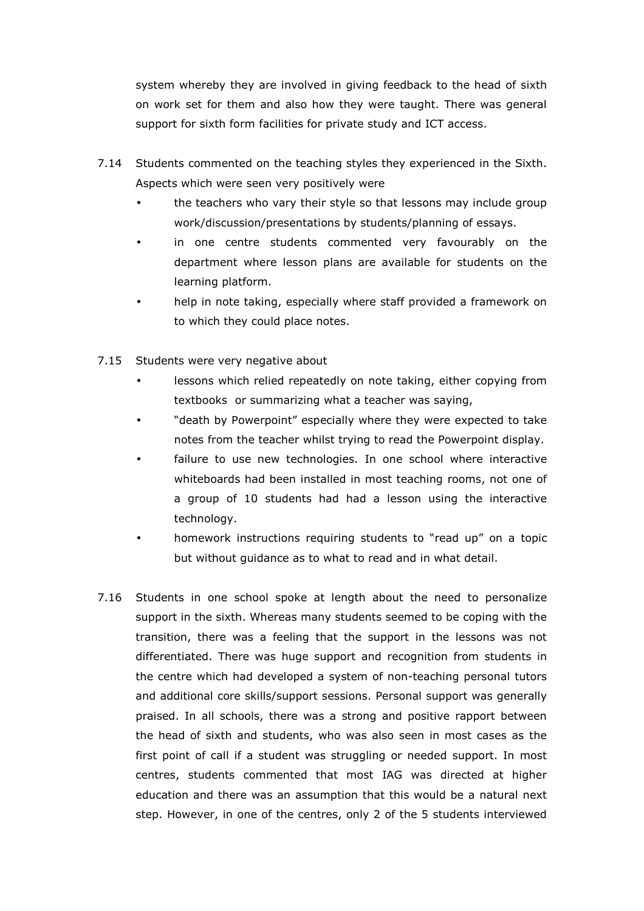system whereby they are involved in giving feedback to the head of sixth on work set for them and also how they were taught. There was general support for sixth form facilities for private study and ICT access.

- 7.14 Students commented on the teaching styles they experienced in the Sixth. Aspects which were seen very positively were
	- the teachers who vary their style so that lessons may include group work/discussion/presentations by students/planning of essays.
	- in one centre students commented very favourably on the department where lesson plans are available for students on the learning platform.
	- help in note taking, especially where staff provided a framework on to which they could place notes.
- 7.15 Students were very negative about
	- lessons which relied repeatedly on note taking, either copying from textbooks or summarizing what a teacher was saying,
	- "death by Powerpoint" especially where they were expected to take notes from the teacher whilst trying to read the Powerpoint display.
	- failure to use new technologies. In one school where interactive whiteboards had been installed in most teaching rooms, not one of a group of 10 students had had a lesson using the interactive technology.
	- homework instructions requiring students to "read up" on a topic but without guidance as to what to read and in what detail.
- 7.16 Students in one school spoke at length about the need to personalize support in the sixth. Whereas many students seemed to be coping with the transition, there was a feeling that the support in the lessons was not differentiated. There was huge support and recognition from students in the centre which had developed a system of non-teaching personal tutors and additional core skills/support sessions. Personal support was generally praised. In all schools, there was a strong and positive rapport between the head of sixth and students, who was also seen in most cases as the first point of call if a student was struggling or needed support. In most centres, students commented that most IAG was directed at higher education and there was an assumption that this would be a natural next step. However, in one of the centres, only 2 of the 5 students interviewed